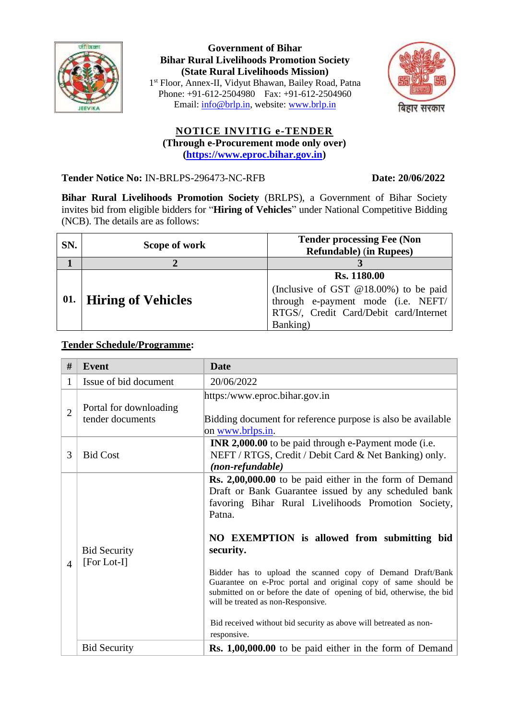

**Government of Bihar Bihar Rural Livelihoods Promotion Society (State Rural Livelihoods Mission)** 1 st Floor, Annex-II, Vidyut Bhawan, Bailey Road, Patna Phone: +91-612-2504980 Fax: +91-612-2504960 Email: [info@brlp.in,](mailto:info@brlp.in) website: [www.brlp.in](http://www.brlp.in/)



## **NOTICE INVITIG e-TENDER (Through e-Procurement mode only over) (https:/[/www.eproc.bihar.gov.in\)](http://www.eproc.bihar.gov.in/)**

**Tender Notice No:** IN-BRLPS-296473-NC-RFB **Date: 20/06/2022**

**Bihar Rural Livelihoods Promotion Society** (BRLPS), a Government of Bihar Society invites bid from eligible bidders for "**Hiring of Vehicles**" under National Competitive Bidding (NCB). The details are as follows:

| SN. | Scope of work             | <b>Tender processing Fee (Non</b><br><b>Refundable</b> ) (in Rupees) |
|-----|---------------------------|----------------------------------------------------------------------|
|     |                           |                                                                      |
| 01. | <b>Hiring of Vehicles</b> | <b>Rs. 1180.00</b>                                                   |
|     |                           | (Inclusive of GST @18.00%) to be paid                                |
|     |                           | through e-payment mode (i.e. NEFT/                                   |
|     |                           | RTGS/, Credit Card/Debit card/Internet                               |
|     |                           | Banking)                                                             |

## **Tender Schedule/Programme:**

| #              | <b>Event</b>                               | <b>Date</b>                                                                                                                                                                                                                                                                                                                                                                                                                                                                                                                                                             |
|----------------|--------------------------------------------|-------------------------------------------------------------------------------------------------------------------------------------------------------------------------------------------------------------------------------------------------------------------------------------------------------------------------------------------------------------------------------------------------------------------------------------------------------------------------------------------------------------------------------------------------------------------------|
| 1              | Issue of bid document                      | 20/06/2022                                                                                                                                                                                                                                                                                                                                                                                                                                                                                                                                                              |
| $\overline{2}$ | Portal for downloading<br>tender documents | https:/www.eproc.bihar.gov.in<br>Bidding document for reference purpose is also be available<br>on www.brlps.in.                                                                                                                                                                                                                                                                                                                                                                                                                                                        |
| 3              | <b>Bid Cost</b>                            | <b>INR 2,000.00</b> to be paid through e-Payment mode (i.e.<br>NEFT / RTGS, Credit / Debit Card & Net Banking) only.<br>(non-refundable)                                                                                                                                                                                                                                                                                                                                                                                                                                |
| $\overline{4}$ | <b>Bid Security</b><br>$[For Lot-I]$       | <b>Rs.</b> 2,00,000.00 to be paid either in the form of Demand<br>Draft or Bank Guarantee issued by any scheduled bank<br>favoring Bihar Rural Livelihoods Promotion Society,<br>Patna.<br>NO EXEMPTION is allowed from submitting bid<br>security.<br>Bidder has to upload the scanned copy of Demand Draft/Bank<br>Guarantee on e-Proc portal and original copy of same should be<br>submitted on or before the date of opening of bid, otherwise, the bid<br>will be treated as non-Responsive.<br>Bid received without bid security as above will betreated as non- |
|                | <b>Bid Security</b>                        | responsive.<br><b>Rs. 1,00,000.00</b> to be paid either in the form of Demand                                                                                                                                                                                                                                                                                                                                                                                                                                                                                           |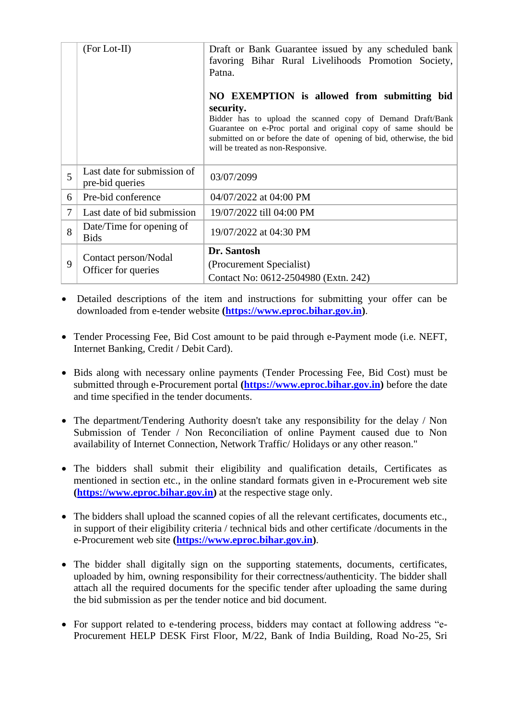|   | $(For Lot-II)$                                 | Draft or Bank Guarantee issued by any scheduled bank<br>favoring Bihar Rural Livelihoods Promotion Society,<br>Patna.                                                                                                                       |
|---|------------------------------------------------|---------------------------------------------------------------------------------------------------------------------------------------------------------------------------------------------------------------------------------------------|
|   |                                                | NO EXEMPTION is allowed from submitting bid<br>security.                                                                                                                                                                                    |
|   |                                                | Bidder has to upload the scanned copy of Demand Draft/Bank<br>Guarantee on e-Proc portal and original copy of same should be<br>submitted on or before the date of opening of bid, otherwise, the bid<br>will be treated as non-Responsive. |
| 5 | Last date for submission of<br>pre-bid queries | 03/07/2099                                                                                                                                                                                                                                  |
| 6 | Pre-bid conference                             | 04/07/2022 at 04:00 PM                                                                                                                                                                                                                      |
| 7 | Last date of bid submission                    | 19/07/2022 till 04:00 PM                                                                                                                                                                                                                    |
| 8 | Date/Time for opening of<br><b>Bids</b>        | 19/07/2022 at 04:30 PM                                                                                                                                                                                                                      |
| 9 | Contact person/Nodal<br>Officer for queries    | Dr. Santosh                                                                                                                                                                                                                                 |
|   |                                                | (Procurement Specialist)                                                                                                                                                                                                                    |
|   |                                                | Contact No: 0612-2504980 (Extn. 242)                                                                                                                                                                                                        |

- Detailed descriptions of the item and instructions for submitting your offer can be downloaded from e-tender website **[\(https://www.eproc.bihar.gov.in\)](https://www.eproc.bihar.gov.in/)**.
- Tender Processing Fee, Bid Cost amount to be paid through e-Payment mode (i.e. NEFT, Internet Banking, Credit / Debit Card).
- Bids along with necessary online payments (Tender Processing Fee, Bid Cost) must be submitted through e-Procurement portal **[\(https://www.eproc.bihar.gov.in\)](https://www.eproc.bihar.gov.in/)** before the date and time specified in the tender documents.
- The department/Tendering Authority doesn't take any responsibility for the delay / Non Submission of Tender / Non Reconciliation of online Payment caused due to Non availability of Internet Connection, Network Traffic/ Holidays or any other reason."
- The bidders shall submit their eligibility and qualification details, Certificates as mentioned in section etc., in the online standard formats given in e-Procurement web site **[\(https://www.eproc.bihar.gov.in\)](https://www.eproc.bihar.gov.in/)** at the respective stage only.
- The bidders shall upload the scanned copies of all the relevant certificates, documents etc., in support of their eligibility criteria / technical bids and other certificate /documents in the e-Procurement web site **[\(https://www.eproc.bihar.gov.in\)](https://www.eproc.bihar.gov.in/)**.
- The bidder shall digitally sign on the supporting statements, documents, certificates, uploaded by him, owning responsibility for their correctness/authenticity. The bidder shall attach all the required documents for the specific tender after uploading the same during the bid submission as per the tender notice and bid document.
- For support related to e-tendering process, bidders may contact at following address "e-Procurement HELP DESK First Floor, M/22, Bank of India Building, Road No-25, Sri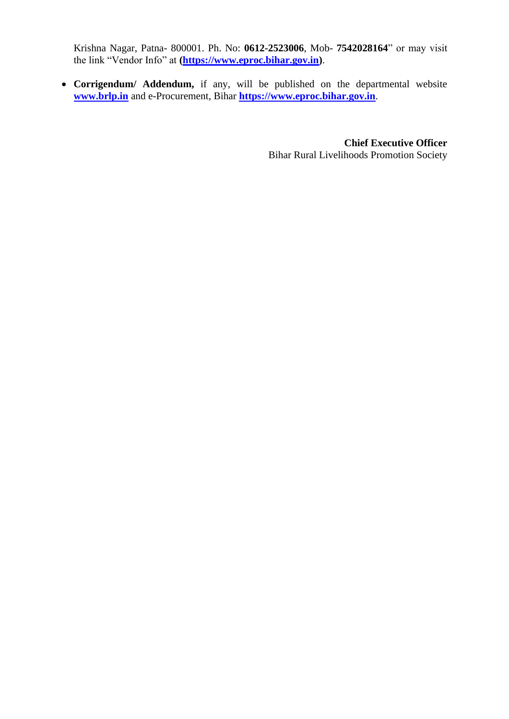Krishna Nagar, Patna- 800001. Ph. No: **0612-2523006**, Mob- **7542028164**" or may visit the link "Vendor Info" at **[\(https://www.eproc.bihar.gov.in\)](https://www.eproc.bihar.gov.in/)**.

• **Corrigendum/ Addendum,** if any, will be published on the departmental website **www.brlp.in** and e-Procurement, Bihar **[https://www.eproc.bihar.gov.in](https://www.eproc.bihar.gov.in/)**.

> **Chief Executive Officer** Bihar Rural Livelihoods Promotion Society